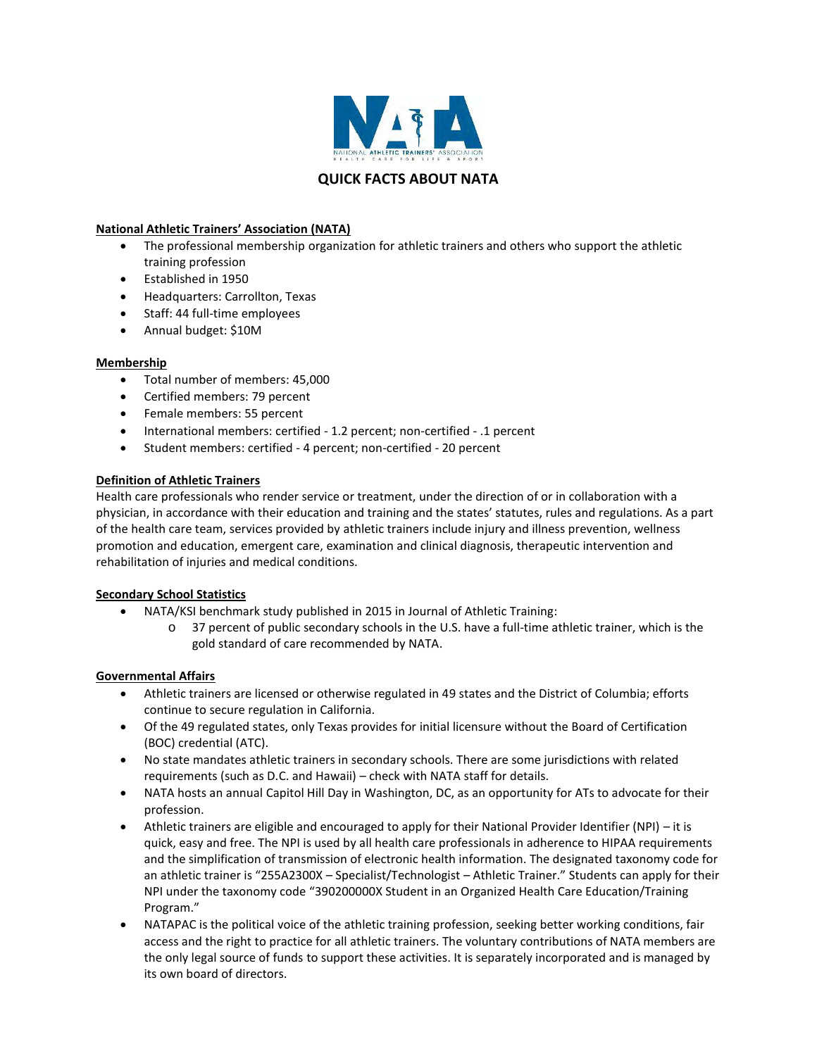

# **National Athletic Trainers' Association (NATA)**

- The professional membership organization for athletic trainers and others who support the athletic training profession
- Established in 1950
- Headquarters: Carrollton, Texas
- Staff: 44 full-time employees
- Annual budget: \$10M

## **Membership**

- Total number of members: 45,000
- Certified members: 79 percent
- Female members: 55 percent
- International members: certified 1.2 percent; non-certified .1 percent
- Student members: certified 4 percent; non-certified 20 percent

## **Definition of Athletic Trainers**

Health care professionals who render service or treatment, under the direction of or in collaboration with a physician, in accordance with their education and training and the states' statutes, rules and regulations. As a part of the health care team, services provided by athletic trainers include injury and illness prevention, wellness promotion and education, emergent care, examination and clinical diagnosis, therapeutic intervention and rehabilitation of injuries and medical conditions.

## **Secondary School Statistics**

- NATA/KSI benchmark study published in 2015 in Journal of Athletic Training:
	- o 37 percent of public secondary schools in the U.S. have a full-time athletic trainer, which is the gold standard of care recommended by NATA.

## **Governmental Affairs**

- Athletic trainers are licensed or otherwise regulated in 49 states and the District of Columbia; efforts continue to secure regulation in California.
- Of the 49 regulated states, only Texas provides for initial licensure without the Board of Certification (BOC) credential (ATC).
- No state mandates athletic trainers in secondary schools. There are some jurisdictions with related requirements (such as D.C. and Hawaii) – check with NATA staff for details.
- NATA hosts an annual Capitol Hill Day in Washington, DC, as an opportunity for ATs to advocate for their profession.
- Athletic trainers are eligible and encouraged to apply for their National Provider Identifier (NPI) it is quick, easy and free. The NPI is used by all health care professionals in adherence to HIPAA requirements and the simplification of transmission of electronic health information. The designated taxonomy code for an athletic trainer is "255A2300X – Specialist/Technologist – Athletic Trainer." Students can apply for their NPI under the taxonomy code "390200000X Student in an Organized Health Care Education/Training Program."
- NATAPAC is the political voice of the athletic training profession, seeking better working conditions, fair access and the right to practice for all athletic trainers. The voluntary contributions of NATA members are the only legal source of funds to support these activities. It is separately incorporated and is managed by its own board of directors.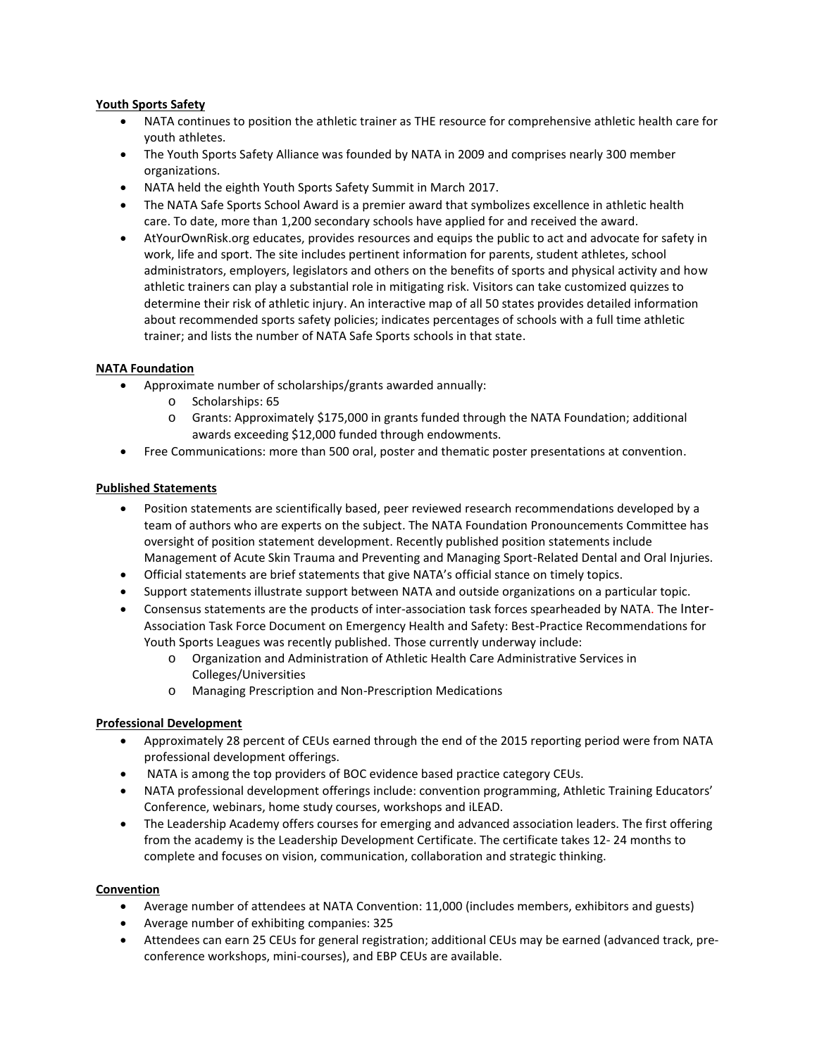## **Youth Sports Safety**

- NATA continues to position the athletic trainer as THE resource for comprehensive athletic health care for youth athletes.
- The Youth Sports Safety Alliance was founded by NATA in 2009 and comprises nearly 300 member organizations.
- NATA held the eighth Youth Sports Safety Summit in March 2017.
- The NATA Safe Sports School Award is a premier award that symbolizes excellence in athletic health care. To date, more than 1,200 secondary schools have applied for and received the award.
- AtYourOwnRisk.org educates, provides resources and equips the public to act and advocate for safety in work, life and sport. The site includes pertinent information for parents, student athletes, school administrators, employers, legislators and others on the benefits of sports and physical activity and how athletic trainers can play a substantial role in mitigating risk. Visitors can take customized quizzes to determine their risk of athletic injury. An interactive map of all 50 states provides detailed information about recommended sports safety policies; indicates percentages of schools with a full time athletic trainer; and lists the number of NATA Safe Sports schools in that state.

## **NATA Foundation**

- Approximate number of scholarships/grants awarded annually:
	- o Scholarships: 65
	- o Grants: Approximately \$175,000 in grants funded through the NATA Foundation; additional awards exceeding \$12,000 funded through endowments.
- Free Communications: more than 500 oral, poster and thematic poster presentations at convention.

## **Published Statements**

- [Position statements](http://www.nata.org/position-statements) are scientifically based, peer reviewed research recommendations developed by a team of authors who are experts on the subject. The NATA Foundation Pronouncements Committee has oversight of position statement development. Recently published position statements include Management of Acute Skin Trauma and Preventing and Managing Sport-Related Dental and Oral Injuries.
- [Official statements](http://www.nata.org/official-statements) are brief statements that give NATA's official stance on timely topics.
- Support statements illustrate support between NATA and outside organizations on a particular topic.
- [Consensus statements](http://www.nata.org/consensus-statements) are the products of inter-association task forces spearheaded by NATA. The Inter-Association Task Force Document on Emergency Health and Safety: Best-Practice Recommendations for Youth Sports Leagues was recently published. Those currently underway include:
	- o Organization and Administration of Athletic Health Care Administrative Services in Colleges/Universities
	- o Managing Prescription and Non-Prescription Medications

## **Professional Development**

- Approximately 28 percent of CEUs earned through the end of the 2015 reporting period were from NATA professional development offerings.
- NATA is among the top providers of BOC evidence based practice category CEUs.
- NATA professional development offerings include: convention programming, Athletic Training Educators' Conference, webinars, home study courses, workshops and iLEAD.
- The Leadership Academy offers courses for emerging and advanced association leaders. The first offering from the academy is the Leadership Development Certificate. The certificate takes 12- 24 months to complete and focuses on vision, communication, collaboration and strategic thinking.

## **Convention**

- Average number of attendees at NATA Convention: 11,000 (includes members, exhibitors and guests)
- Average number of exhibiting companies: 325
- Attendees can earn 25 CEUs for general registration; additional CEUs may be earned (advanced track, preconference workshops, mini-courses), and EBP CEUs are available.